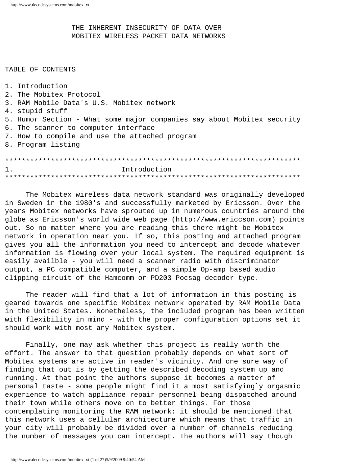THE INHERENT INSECURITY OF DATA OVER MOBITEX WIRELESS PACKET DATA NETWORKS

## TABLE OF CONTENTS

1. Introduction 2. The Mobitex Protocol 3. RAM Mobile Data's U.S. Mobitex network 4. stupid stuff 5. Humor Section - What some major companies say about Mobitex security 6. The scanner to computer interface 7. How to compile and use the attached program 8. Program listing  $1<sub>1</sub>$ Introduction

The Mobitex wireless data network standard was originally developed in Sweden in the 1980's and successfully marketed by Ericsson. Over the years Mobitex networks have sprouted up in numerous countries around the globe as Ericsson's world wide web page (http://www.ericcson.com) points out. So no matter where you are reading this there might be Mobitex network in operation near you. If so, this posting and attached program gives you all the information you need to intercept and decode whatever information is flowing over your local system. The required equipment is easily availble - you will need a scanner radio with discriminator output, a PC compatible computer, and a simple Op-amp based audio clipping circuit of the Hamcomm or PD203 Pocsag decoder type.

The reader will find that a lot of information in this posting is geared towards one specific Mobitex network operated by RAM Mobile Data in the United States. Nonetheless, the included program has been written with flexibility in mind - with the proper configuration options set it should work with most any Mobitex system.

Finally, one may ask whether this project is really worth the effort. The answer to that question probably depends on what sort of Mobitex systems are active in reader's vicinity. And one sure way of finding that out is by getting the described decoding system up and running. At that point the authors suppose it becomes a matter of personal taste - some people might find it a most satisfyingly orgasmic experience to watch appliance repair personnel being dispatched around their town while others move on to better things. For those contemplating monitoring the RAM network: it should be mentioned that this network uses a cellular architecture which means that traffic in your city will probably be divided over a number of channels reducing the number of messages you can intercept. The authors will say though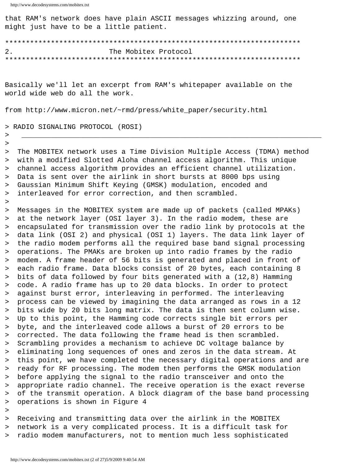that RAM's network does have plain ASCII messages whizzing around, one might just have to be a little patient.

The Mobitex Protocol  $2.$ 

Basically we'll let an excerpt from RAM's whitepaper available on the world wide web do all the work.

from http://www.micron.net/~rmd/press/white\_paper/security.html

## > RADIO SIGNALING PROTOCOL (ROSI)

The MOBITEX network uses a Time Division Multiple Access (TDMA) method  $\geq$ with a modified Slotted Aloha channel access algorithm. This unique  $\geq$ channel access algorithm provides an efficient channel utilization.  $\,>\,$ Data is sent over the airlink in short bursts at 8000 bps using  $\geq$ Gaussian Minimum Shift Keying (GMSK) modulation, encoded and  $\geq$ interleaved for error correction, and then scrambled.  $\geq$ 

Messages in the MOBITEX system are made up of packets (called MPAKs)  $\, >$ at the network layer (OSI layer 3). In the radio modem, these are  $\geq$ encapsulated for transmission over the radio link by protocols at the  $\geq$ data link (OSI 2) and physical (OSI 1) layers. The data link layer of  $\, >$ the radio modem performs all the required base band signal processing  $\geq$ operations. The PMAKs are broken up into radio frames by the radio  $\geq$ modem. A frame header of 56 bits is generated and placed in front of  $\geq$ each radio frame. Data blocks consist of 20 bytes, each containing 8  $\geq$ bits of data followed by four bits generated with a  $(12,8)$  Hamming  $\geq$ code. A radio frame has up to 20 data blocks. In order to protect  $\geq$  $\geq$ against burst error, interleaving in performed. The interleaving process can be viewed by imagining the data arranged as rows in a 12  $>$ bits wide by 20 bits long matrix. The data is then sent column wise.  $\geq$ Up to this point, the Hamming code corrects single bit errors per  $\geq$ byte, and the interleaved code allows a burst of 20 errors to be  $\geq$ corrected. The data following the frame head is then scrambled.  $\geq$ Scrambling provides a mechanism to achieve DC voltage balance by  $\geq$ eliminating long sequences of ones and zeros in the data stream. At  $\geq$ this point, we have completed the necessary digital operations and are  $\geq$ ready for RF processing. The modem then performs the GMSK modulation  $\geq$ before applying the signal to the radio transceiver and onto the  $\geq$ appropriate radio channel. The receive operation is the exact reverse  $\geq$ of the transmit operation. A block diagram of the base band processing  $>$ operations is shown in Figure 4  $\geq$ 

 $\,>\,$ 

 $\geq$  $\, >$ 

 $\, >$ 

> Receiving and transmitting data over the airlink in the MOBITEX > network is a very complicated process. It is a difficult task for > radio modem manufacturers, not to mention much less sophisticated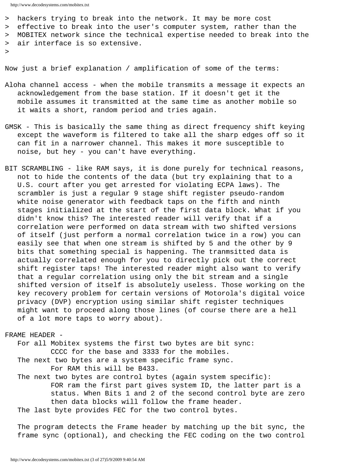- > hackers trying to break into the network. It may be more cost
- > effective to break into the user's computer system, rather than the
- > MOBITEX network since the technical expertise needed to break into the > air interface is so extensive.
- >

Now just a brief explanation / amplification of some of the terms:

- Aloha channel access when the mobile transmits a message it expects an acknowledgement from the base station. If it doesn't get it the mobile assumes it transmitted at the same time as another mobile so it waits a short, random period and tries again.
- GMSK This is basically the same thing as direct frequency shift keying except the waveform is filtered to take all the sharp edges off so it can fit in a narrower channel. This makes it more susceptible to noise, but hey - you can't have everything.
- BIT SCRAMBLING like RAM says, it is done purely for technical reasons, not to hide the contents of the data (but try explaining that to a U.S. court after you get arrested for violating ECPA laws). The scrambler is just a regular 9 stage shift register pseudo-random white noise generator with feedback taps on the fifth and ninth stages initialized at the start of the first data block. What if you didn't know this? The interested reader will verify that if a correlation were performed on data stream with two shifted versions of itself (just perform a normal correlation twice in a row) you can easily see that when one stream is shifted by 5 and the other by 9 bits that something special is happening. The tranmsitted data is actually correlated enough for you to directly pick out the correct shift register taps! The interested reader might also want to verify that a regular correlation using only the bit stream and a single shifted version of itself is absolutely useless. Those working on the key recovery problem for certain versions of Motorola's digital voice privacy (DVP) encryption using similar shift register techniques might want to proceed along those lines (of course there are a hell of a lot more taps to worry about).

## FRAME HEADER -

 For all Mobitex systems the first two bytes are bit sync: CCCC for the base and 3333 for the mobiles. The next two bytes are a system specific frame sync. For RAM this will be B433.

 The next two bytes are control bytes (again system specific): FOR ram the first part gives system ID, the latter part is a status. When Bits 1 and 2 of the second control byte are zero then data blocks will follow the frame header. The last byte provides FEC for the two control bytes.

 The program detects the Frame header by matching up the bit sync, the frame sync (optional), and checking the FEC coding on the two control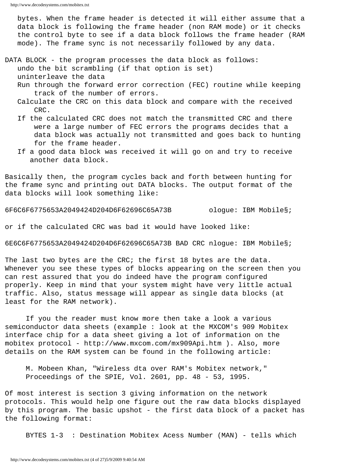bytes. When the frame header is detected it will either assume that a data block is following the frame header (non RAM mode) or it checks the control byte to see if a data block follows the frame header (RAM mode). The frame sync is not necessarily followed by any data.

- DATA BLOCK the program processes the data block as follows: undo the bit scrambling (if that option is set) uninterleave the data
	- Run through the forward error correction (FEC) routine while keeping track of the number of errors.
	- Calculate the CRC on this data block and compare with the received CRC.
	- If the calculated CRC does not match the transmitted CRC and there were a large number of FEC errors the programs decides that a data block was actually not transmitted and goes back to hunting for the frame header.
	- If a good data block was received it will go on and try to receive another data block.

Basically then, the program cycles back and forth between hunting for the frame sync and printing out DATA blocks. The output format of the data blocks will look something like:

6F6C6F6775653A2049424D204D6F62696C65A73B ologue: IBM Mobile§;

or if the calculated CRC was bad it would have looked like:

6E6C6F6775653A2049424D204D6F62696C65A73B BAD CRC nlogue: IBM Mobile§;

The last two bytes are the CRC; the first 18 bytes are the data. Whenever you see these types of blocks appearing on the screen then you can rest assured that you do indeed have the program configured properly. Keep in mind that your system might have very little actual traffic. Also, status message will appear as single data blocks (at least for the RAM network).

 If you the reader must know more then take a look a various semiconductor data sheets (example : look at the MXCOM's 909 Mobitex interface chip for a data sheet giving a lot of information on the mobitex protocol - http://www.mxcom.com/mx909Api.htm ). Also, more details on the RAM system can be found in the following article:

 M. Mobeen Khan, "Wireless dta over RAM's Mobitex network," Proceedings of the SPIE, Vol. 2601, pp. 48 - 53, 1995.

Of most interest is section 3 giving information on the network protocols. This would help one figure out the raw data blocks displayed by this program. The basic upshot - the first data block of a packet has the following format:

BYTES 1-3 : Destination Mobitex Acess Number (MAN) - tells which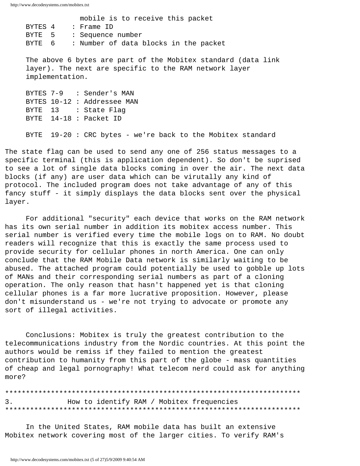mobile is to receive this packet BYTES 4 : Frame ID BYTE 5 : Sequence number BYTE 6 : Number of data blocks in the packet

 The above 6 bytes are part of the Mobitex standard (data link layer). The next are specific to the RAM network layer implementation.

|  | BYTES 7-9 : Sender's MAN    |
|--|-----------------------------|
|  | BYTES 10-12 : Addressee MAN |
|  | BYTE 13 : State Flaq        |
|  | BYTE 14-18 : Packet ID      |
|  |                             |

BYTE 19-20 : CRC bytes - we're back to the Mobitex standard

The state flag can be used to send any one of 256 status messages to a specific terminal (this is application dependent). So don't be suprised to see a lot of single data blocks coming in over the air. The next data blocks (if any) are user data which can be virutally any kind of protocol. The included program does not take advantage of any of this fancy stuff - it simply displays the data blocks sent over the physical layer.

 For additional "security" each device that works on the RAM network has its own serial number in addition its mobitex access number. This serial number is verified every time the mobile logs on to RAM. No doubt readers will recognize that this is exactly the same process used to provide security for cellular phones in north America. One can only conclude that the RAM Mobile Data network is similarly waiting to be abused. The attached program could potentially be used to gobble up lots of MANs and their corresponding serial numbers as part of a cloning operation. The only reason that hasn't happened yet is that cloning cellular phones is a far more lucrative proposition. However, please don't misunderstand us - we're not trying to advocate or promote any sort of illegal activities.

 Conclusions: Mobitex is truly the greatest contribution to the telecommunications industry from the Nordic countries. At this point the authors would be remiss if they failed to mention the greatest contribution to humanity from this part of the globe - mass quantities of cheap and legal pornography! What telecom nerd could ask for anything more?

\*\*\*\*\*\*\*\*\*\*\*\*\*\*\*\*\*\*\*\*\*\*\*\*\*\*\*\*\*\*\*\*\*\*\*\*\*\*\*\*\*\*\*\*\*\*\*\*\*\*\*\*\*\*\*\*\*\*\*\*\*\*\*\*\*\*\*\*\*\*\* 3. How to identify RAM / Mobitex frequencies \*\*\*\*\*\*\*\*\*\*\*\*\*\*\*\*\*\*\*\*\*\*\*\*\*\*\*\*\*\*\*\*\*\*\*\*\*\*\*\*\*\*\*\*\*\*\*\*\*\*\*\*\*\*\*\*\*\*\*\*\*\*\*\*\*\*\*\*\*\*\*

 In the United States, RAM mobile data has built an extensive Mobitex network covering most of the larger cities. To verify RAM's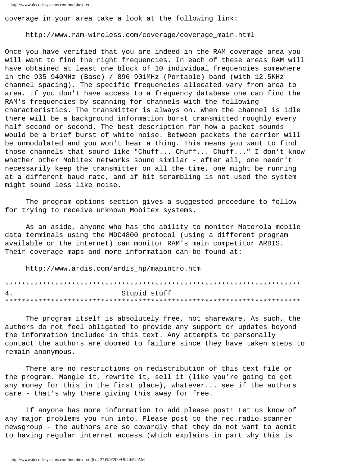coverage in your area take a look at the following link:

http://www.ram-wireless.com/coverage/coverage\_main.html

Once you have verified that you are indeed in the RAM coverage area you will want to find the right frequencies. In each of these areas RAM will have obtained at least one block of 10 individual frequencies somewhere in the 935-940MHz (Base) / 896-901MHz (Portable) band (with 12.5KHz channel spacing). The specific frequencies allocated vary from area to area. If you don't have access to a frequency database one can find the RAM's frequencies by scanning for channels with the following characteristics. The transmitter is always on. When the channel is idle there will be a background information burst transmitted roughly every half second or second. The best description for how a packet sounds would be a brief burst of white noise. Between packets the carrier will be unmodulated and you won't hear a thing. This means you want to find those channels that sound like "Chuff... Chuff... Chuff..." I don't know whether other Mobitex networks sound similar - after all, one needn't necessarily keep the transmitter on all the time, one might be running at a different baud rate, and if bit scrambling is not used the system might sound less like noise.

The program options section gives a suggested procedure to follow for trying to receive unknown Mobitex systems.

As an aside, anyone who has the ability to monitor Motorola mobile data terminals using the MDC4800 protocol (using a different program available on the internet) can monitor RAM's main competitor ARDIS. Their coverage maps and more information can be found at:

http://www.ardis.com/ardis\_hp/mapintro.htm

| 4. | Stupid stuff |
|----|--------------|
|    |              |

The program itself is absolutely free, not shareware. As such, the authors do not feel obligated to provide any support or updates beyond the information included in this text. Any attempts to personally contact the authors are doomed to failure since they have taken steps to remain anonymous.

There are no restrictions on redistribution of this text file or the program. Mangle it, rewrite it, sell it (like you're going to get any money for this in the first place), whatever... see if the authors care - that's why there giving this away for free.

If anyone has more information to add please post! Let us know of any major problems you run into. Please post to the rec.radio.scanner newsgroup - the authors are so cowardly that they do not want to admit to having regular internet access (which explains in part why this is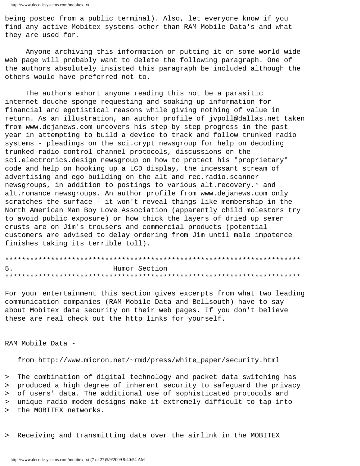being posted from a public terminal). Also, let everyone know if you find any active Mobitex systems other than RAM Mobile Data's and what they are used for.

Anyone archiving this information or putting it on some world wide web page will probably want to delete the following paragraph. One of the authors absolutely insisted this paragraph be included although the others would have preferred not to.

The authors exhort anyone reading this not be a parasitic internet douche sponge requesting and soaking up information for financial and egotistical reasons while giving nothing of value in return. As an illustration, an author profile of jvpoll@dallas.net taken from www.dejanews.com uncovers his step by step progress in the past year in attempting to build a device to track and follow trunked radio systems - pleadings on the sci.crypt newsgroup for help on decoding trunked radio control channel protocols, discussions on the sci.electronics.design newsgroup on how to protect his "proprietary" code and help on hooking up a LCD display, the incessant stream of advertising and ego building on the alt and rec.radio.scanner newsgroups, in addition to postings to various alt. recovery.\* and alt.romance newsgroups. An author profile from www.dejanews.com only scratches the surface - it won't reveal things like membership in the North American Man Boy Love Association (apparently child molestors try to avoid public exposure) or how thick the layers of dried up semen crusts are on Jim's trousers and commercial products (potential customers are advised to delay ordering from Jim until male impotence finishes taking its terrible toll).

| 5. | Humor Section |
|----|---------------|
|    |               |

For your entertainment this section gives excerpts from what two leading communication companies (RAM Mobile Data and Bellsouth) have to say about Mobitex data security on their web pages. If you don't believe these are real check out the http links for yourself.

RAM Mobile Data -

from http://www.micron.net/~rmd/press/white\_paper/security.html

> The combination of digital technology and packet data switching has

> produced a high degree of inherent security to safeguard the privacy

> of users' data. The additional use of sophisticated protocols and

> unique radio modem designs make it extremely difficult to tap into

> the MOBITEX networks.

> Receiving and transmitting data over the airlink in the MOBITEX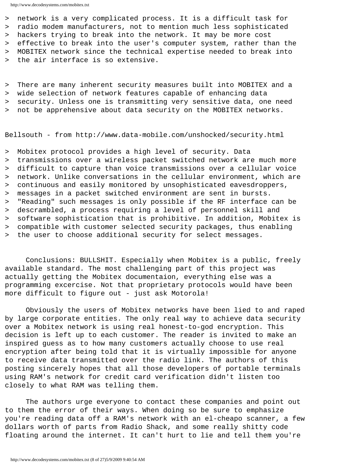> network is a very complicated process. It is a difficult task for > radio modem manufacturers, not to mention much less sophisticated > hackers trying to break into the network. It may be more cost > effective to break into the user's computer system, rather than the > MOBITEX network since the technical expertise needed to break into > the air interface is so extensive.

> There are many inherent security measures built into MOBITEX and a

> wide selection of network features capable of enhancing data

> security. Unless one is transmitting very sensitive data, one need

> not be apprehensive about data security on the MOBITEX networks.

Bellsouth - from http://www.data-mobile.com/unshocked/security.html

> Mobitex protocol provides a high level of security. Data

> transmissions over a wireless packet switched network are much more > difficult to capture than voice transmissions over a cellular voice > network. Unlike conversations in the cellular environment, which are > continuous and easily monitored by unsophisticated eavesdroppers, > messages in a packet switched environment are sent in bursts. > "Reading" such messages is only possible if the RF interface can be > descrambled, a process requiring a level of personnel skill and > software sophistication that is prohibitive. In addition, Mobitex is > compatible with customer selected security packages, thus enabling > the user to choose additional security for select messages.

 Conclusions: BULLSHIT. Especially when Mobitex is a public, freely available standard. The most challenging part of this project was actually getting the Mobitex documentaion, everything else was a programming excercise. Not that proprietary protocols would have been more difficult to figure out - just ask Motorola!

 Obviously the users of Mobitex networks have been lied to and raped by large corporate entities. The only real way to achieve data security over a Mobitex network is using real honest-to-god encryption. This decision is left up to each customer. The reader is invited to make an inspired guess as to how many customers actually choose to use real encryption after being told that it is virtually impossible for anyone to receive data transmitted over the radio link. The authors of this posting sincerely hopes that all those developers of portable terminals using RAM's network for credit card verification didn't listen too closely to what RAM was telling them.

 The authors urge everyone to contact these companies and point out to them the error of their ways. When doing so be sure to emphasize you're reading data off a RAM's network with an el-cheapo scanner, a few dollars worth of parts from Radio Shack, and some really shitty code floating around the internet. It can't hurt to lie and tell them you're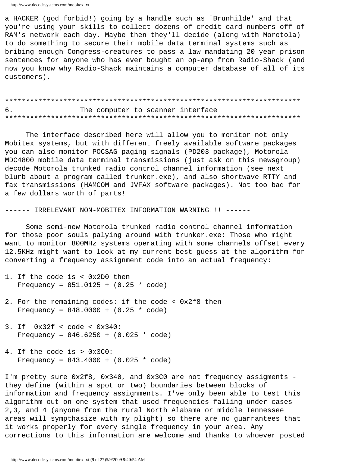a HACKER (god forbid!) going by a handle such as 'Brunhilde' and that you're using your skills to collect dozens of credit card numbers off of RAM's network each day. Maybe then they'll decide (along with Morotola) to do something to secure their mobile data terminal systems such as bribing enough Congress-creatures to pass a law mandating 20 year prison sentences for anyone who has ever bought an op-amp from Radio-Shack (and now you know why Radio-Shack maintains a computer database of all of its customers).

6. The computer to scanner interface 

The interface described here will allow you to monitor not only Mobitex systems, but with different freely available software packages you can also monitor POCSAG paging signals (PD203 package), Motorola MDC4800 mobile data terminal transmissions (just ask on this newsgroup) decode Motorola trunked radio control channel information (see next blurb about a program called trunker.exe), and also shortwave RTTY and fax transmissions (HAMCOM and JVFAX software packages). Not too bad for a few dollars worth of parts!

------ IRRELEVANT NON-MOBITEX INFORMATION WARNING!!! ------

Some semi-new Motorola trunked radio control channel information for those poor souls palying around with trunker.exe: Those who might want to monitor 800MHz systems operating with some channels offset every 12.5KHz might want to look at my current best guess at the algorithm for converting a frequency assignment code into an actual frequency:

- 1. If the code is < 0x2D0 then Frequency =  $851.0125 + (0.25 * code)$
- 2. For the remaining codes: if the code < 0x2f8 then Frequency =  $848.0000 + (0.25 * code)$
- 3. If  $0x32f < code < 0x340$ : Frequency =  $846.6250 + (0.025 * code)$
- 4. If the code is > 0x3C0: Frequency =  $843.4000 + (0.025 * code)$

I'm pretty sure 0x2f8, 0x340, and 0x3C0 are not frequency assigments they define (within a spot or two) boundaries between blocks of information and frequency assignments. I've only been able to test this algorithm out on one system that used frequencies falling under cases 2,3, and 4 (anyone from the rural North Alabama or middle Tennessee areas will sympthasize with my plight) so there are no guarrantees that it works properly for every single frequency in your area. Any corrections to this information are welcome and thanks to whoever posted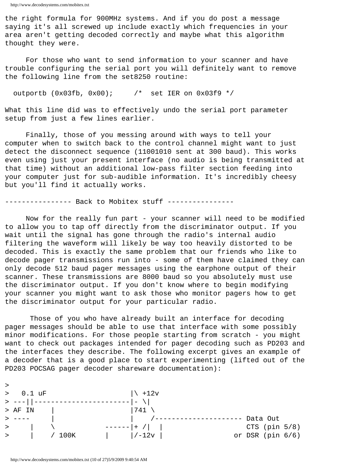the right formula for 900MHz systems. And if you do post a message saying it's all screwed up include exactly which frequencies in your area aren't getting decoded correctly and maybe what this algorithm thought they were.

 For those who want to send information to your scanner and have trouble configuring the serial port you will definitely want to remove the following line from the set8250 routine:

outportb (0x03fb, 0x00); /\* set IER on 0x03f9 \*/

What this line did was to effectively undo the serial port parameter setup from just a few lines earlier.

 Finally, those of you messing around with ways to tell your computer when to switch back to the control channel might want to just detect the disconnect sequence (11001010 sent at 300 baud). This works even using just your present interface (no audio is being transmitted at that time) without an additional low-pass filter section feeding into your computer just for sub-audible information. It's incredibly cheesy but you'll find it actually works.

---------------- Back to Mobitex stuff ----------------

 Now for the really fun part - your scanner will need to be modified to allow you to tap off directly from the discriminator output. If you wait until the signal has gone through the radio's internal audio filtering the waveform will likely be way too heavily distorted to be decoded. This is exactly the same problem that our friends who like to decode pager transmissions run into - some of them have claimed they can only decode 512 baud pager messages using the earphone output of their scanner. These transmissions are 8000 baud so you absolutely must use the discriminator output. If you don't know where to begin modifying your scanner you might want to ask those who monitor pagers how to get the discriminator output for your particular radio.

 Those of you who have already built an interface for decoding pager messages should be able to use that interface with some possibly minor modifications. For those people starting from scratch - you might want to check out packages intended for pager decoding such as PD203 and the interfaces they describe. The following excerpt gives an example of a decoder that is a good place to start experimenting (lifted out of the PD203 POCSAG pager decoder shareware documentation):

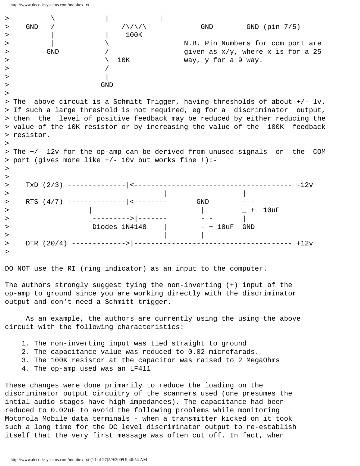

DO NOT use the RI (ring indicator) as an input to the computer.

The authors strongly suggest tying the non-inverting (+) input of the op-amp to ground since you are working directly with the discriminator output and don't need a Schmitt trigger.

 As an example, the authors are currently using the using the above circuit with the following characteristics:

- 1. The non-inverting input was tied straight to ground
- 2. The capacitance value was reduced to 0.02 microfarads.
- 3. The 100K resistor at the capacitor was raised to 2 MegaOhms
- 4. The op-amp used was an LF411

These changes were done primarily to reduce the loading on the discriminator output circuitry of the scanners used (one presumes the intial audio stages have high impedances). The capacitance had been reduced to 0.02uF to avoid the following problems while monitoring Motorola Mobile data terminals - when a transmitter kicked on it took such a long time for the DC level discriminator output to re-establish itself that the very first message was often cut off. In fact, when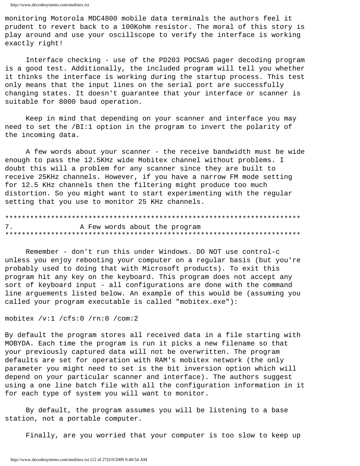monitoring Motorola MDC4800 mobile data terminals the authors feel it prudent to revert back to a 100Kohm resistor. The moral of this story is play around and use your oscillscope to verify the interface is working exactly right!

Interface checking - use of the PD203 POCSAG pager decoding program is a good test. Additionally, the included program will tell you whether it thinks the interface is working during the startup process. This test only means that the input lines on the serial port are successfully changing states. It doesn't guarantee that your interface or scanner is suitable for 8000 baud operation.

Keep in mind that depending on your scanner and interface you may need to set the /BI:1 option in the program to invert the polarity of the incoming data.

A few words about your scanner - the receive bandwidth must be wide enough to pass the 12.5KHz wide Mobitex channel without problems. I doubt this will a problem for any scanner since they are built to receive 25KHz channels. However, if you have a narrow FM mode setting for 12.5 KHz channels then the filtering might produce too much distortion. So you might want to start experimenting with the regular setting that you use to monitor 25 KHz channels.

7. A Few words about the program 

Remember - don't run this under Windows. DO NOT use control-c unless you enjoy rebooting your computer on a regular basis (but you're probably used to doing that with Microsoft products). To exit this program hit any key on the keyboard. This program does not accept any sort of keyboard input - all configurations are done with the command line arguements listed below. An example of this would be (assuming you called your program executable is called "mobitex.exe"):

```
mobitex /v:1 /cfs:0 /rn:0 /com:2
```
By default the program stores all received data in a file starting with MOBYDA. Each time the program is run it picks a new filename so that your previously captured data will not be overwritten. The program defaults are set for operation with RAM's mobitex network (the only parameter you might need to set is the bit inversion option which will depend on your particular scanner and interface). The authors suggest using a one line batch file with all the configuration information in it for each type of system you will want to monitor.

By default, the program assumes you will be listening to a base station, not a portable computer.

Finally, are you worried that your computer is too slow to keep up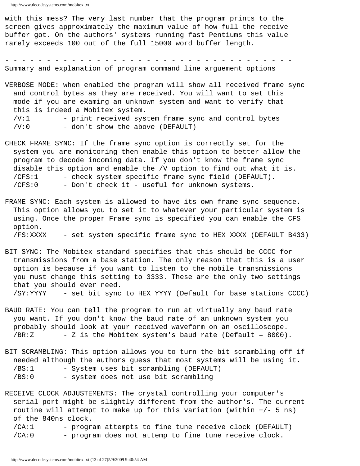with this mess? The very last number that the program prints to the screen gives approximately the maximum value of how full the receive buffer got. On the authors' systems running fast Pentiums this value rarely exceeds 100 out of the full 15000 word buffer length.

- - - - - - - - - - - - - - - - - - - - - - - - - - - - - - - - - - - Summary and explanation of program command line arguement options

VERBOSE MODE: when enabled the program will show all received frame sync and control bytes as they are received. You will want to set this mode if you are examing an unknown system and want to verify that this is indeed a Mobitex system. /V:1 - print received system frame sync and control bytes  $/V:0$  - don't show the above (DEFAULT)

- CHECK FRAME SYNC: If the frame sync option is correctly set for the system you are monitoring then enable this option to better allow the program to decode incoming data. If you don't know the frame sync disable this option and enable the /V option to find out what it is. /CFS:1 - check system specific frame sync field (DEFAULT). /CFS:0 - Don't check it - useful for unknown systems.
- FRAME SYNC: Each system is allowed to have its own frame sync sequence. This option allows you to set it to whatever your particular system is using. Once the proper Frame sync is specified you can enable the CFS option. /FS:XXXX - set system specific frame sync to HEX XXXX (DEFAULT B433)
- BIT SYNC: The Mobitex standard specifies that this should be CCCC for transmissions from a base station. The only reason that this is a user option is because if you want to listen to the mobile transmissions you must change this setting to 3333. These are the only two settings that you should ever need. /SY:YYYY - set bit sync to HEX YYYY (Default for base stations CCCC)
- BAUD RATE: You can tell the program to run at virtually any baud rate you want. If you don't know the baud rate of an unknown system you probably should look at your received waveform on an oscilloscope. /BR:Z - Z is the Mobitex system's baud rate (Default = 8000).
- BIT SCRAMBLING: This option allows you to turn the bit scrambling off if needed although the authors guess that most systems will be using it. /BS:1 - System uses bit scrambling (DEFAULT) /BS:0 - system does not use bit scrambling

RECEIVE CLOCK ADJUSTEMENTS: The crystal controlling your computer's serial port might be slightly different from the author's. The current routine will attempt to make up for this variation (within +/- 5 ns) of the 840ns clock. /CA:1 - program attempts to fine tune receive clock (DEFAULT) /CA:0 - program does not attemp to fine tune receive clock.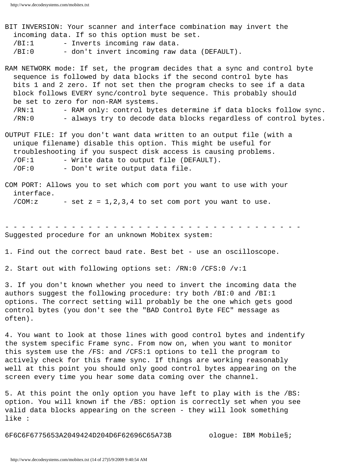BIT INVERSION: Your scanner and interface combination may invert the incoming data. If so this option must be set. /BI:1 - Inverts incoming raw data. /BI:0 - don't invert incoming raw data (DEFAULT).

RAM NETWORK mode: If set, the program decides that a sync and control byte sequence is followed by data blocks if the second control byte has bits 1 and 2 zero. If not set then the program checks to see if a data block follows EVERY sync/control byte sequence. This probably should be set to zero for non-RAM systems. /RN:1 - RAM only: control bytes determine if data blocks follow sync. /RN:0 - always try to decode data blocks regardless of control bytes.

OUTPUT FILE: If you don't want data written to an output file (with a unique filename) disable this option. This might be useful for troubleshooting if you suspect disk access is causing problems. /OF:1 - Write data to output file (DEFAULT). /OF:0 - Don't write output data file.

COM PORT: Allows you to set which com port you want to use with your interface. /COM:  $z$  - set  $z = 1, 2, 3, 4$  to set comport you want to use.

- - - - - - - - - - - - - - - - - - - - - - - - - - - - - - - - - - - - Suggested procedure for an unknown Mobitex system:

1. Find out the correct baud rate. Best bet - use an oscilloscope.

2. Start out with following options set: /RN:0 /CFS:0 /v:1

3. If you don't known whether you need to invert the incoming data the authors suggest the following procedure: try both /BI:0 and /BI:1 options. The correct setting will probably be the one which gets good control bytes (you don't see the "BAD Control Byte FEC" message as often).

4. You want to look at those lines with good control bytes and indentify the system specific Frame sync. From now on, when you want to monitor this system use the /FS: and /CFS:1 options to tell the program to actively check for this frame sync. If things are working reasonably well at this point you should only good control bytes appearing on the screen every time you hear some data coming over the channel.

5. At this point the only option you have left to play with is the /BS: option. You will known if the /BS: option is correctly set when you see valid data blocks appearing on the screen - they will look something like :

6F6C6F6775653A2049424D204D6F62696C65A73B ologue: IBM Mobile§;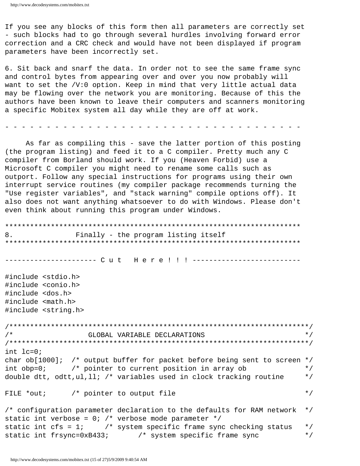If you see any blocks of this form then all parameters are correctly set - such blocks had to go through several hurdles involving forward error correction and a CRC check and would have not been displayed if program parameters have been incorrectly set.

6. Sit back and snarf the data. In order not to see the same frame sync and control bytes from appearing over and over you now probably will want to set the /V:0 option. Keep in mind that very little actual data may be flowing over the network you are monitoring. Because of this the authors have been known to leave their computers and scanners monitoring a specific Mobitex system all day while they are off at work.

As far as compiling this - save the latter portion of this posting (the program listing) and feed it to a C compiler. Pretty much any C compiler from Borland should work. If you (Heaven Forbid) use a Microsoft C compiler you might need to rename some calls such as outport. Follow any special instructions for programs using their own interrupt service routines (my compiler package recommends turning the "Use register variables", and "stack warning" compile options off). It also does not want anything whatsoever to do with Windows. Please don't even think about running this program under Windows.

```
8.
           Finally - the program listing itself
#include <stdio.h>
#include <conio.h>
#include <dos.h>
#include <math.h>
#include <string.h>
\star /
/ *
             GLOBAL VARIABLE DECLARATIONS
int lc=0;char ob[1000]; /* output buffer for packet before being sent to screen */int obj=0;
          /* pointer to current position in array ob
                                                 \star /
double dtt, odtt, ul, ll; /* variables used in clock tracking routine
                                                 \star /
                                                 \star /
FILE *out;
          /* pointer to output file
/* configuration parameter declaration to the defaults for RAM network
                                                 \star /
static int verbose = 0: /* verbose mode parameter */
static int cfs = 1; \prime* system specific frame sync checking status
                                                 \star /
static int frsync=0xB433; /* system specific frame sync
                                                 \star /
```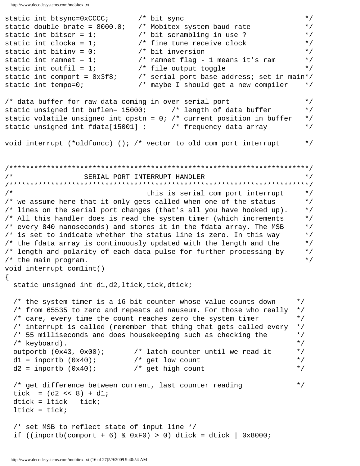```
\star /
static int btsync=0xCCCC;
                               /* bit sync
static double brate = 8000.07/* Mobitex system baud rate
                                                                          \star /
static int bitscr = 1;
                                /* bit scrambling in use ?
                                                                          \star /
static int clocka = 1;
                                /* fine tune receive clock
                                                                          \star /
static int bitiny = 0;
                                /* bit inversion
                                                                          \star /
static int ramnet = 1;
                                /* ramnet flag - 1 means it's ram
                                                                          \star /
static int outfil = 1;
                                /* file output toggle
                                                                          \star /
static int comport = 0x3f8;
                               /* serial port base address; set in main*/
static int tempo=0;
                                /* maybe I should get a new compiler
                                                                          \star /
                                                                          \star /
/* data buffer for raw data coming in over serial port
static unsigned int buflen= 15000; /* length of data buffer
                                                                          \star /
static volatile unsigned int cpstn = 0: /* current position in buffer
                                                                          \star /
static unsigned int fdata[15001] ; /* frequency data array
                                                                          \star /
void interrupt (*oldfuncc) (); /* vector to old com port interrupt
                                                                          \star /
/ *
                                                                          \star /
                   SERIAL PORT INTERRUPT HANDLER
/*
                                  this is serial com port interrupt
                                                                          \star /
/* we assume here that it only gets called when one of the status
                                                                          \star /
/* lines on the serial port changes (that's all you have hooked up).
                                                                          \star /
/* All this handler does is read the system timer (which increments
                                                                          \star /
/* every 840 nanoseconds) and stores it in the fdata array. The MSB
                                                                          \star /
\prime* is set to indicate whether the status line is zero. In this way
                                                                          \star /
/* the fdata array is continuously updated with the length and the
                                                                          \star /
/* length and polarity of each data pulse for further processing by
                                                                          \star /
/* the main program.
                                                                          \star /
void interrupt comlint()
\left\{ \right.static unsigned int d1,d2, ltick, tick, dtick;
  /* the system timer is a 16 bit counter whose value counts down
                                                                        \star /
  /* from 65535 to zero and repeats ad nauseum. For those who really
                                                                        \star /
  /* care, every time the count reaches zero the system timer
                                                                        \star /
  /* interrupt is called (remember that thing that gets called every
                                                                        \star /
  /* 55 milliseconds and does housekeeping such as checking the
                                                                        \star /
                                                                        \star /
  /* keyboard).
                                                                        \star /
  outportb (0x43, 0x00);
                              /* latch counter until we read it
  d1 = importb (0x40);/* get low count
                                                                        \star /
  d2 = importb (0x40);/* get high count
                                                                        \star /
  /* get difference between current, last counter reading
                                                                        \star /
  tick = (d2 \lt d 8) + d1;
  dtick = litick - tick;ltick = tick;/* set MSB to reflect state of input line */
  if ((inportb(comport + 6) & 0xF0) > 0) dtick = dtick | 0x8000;
```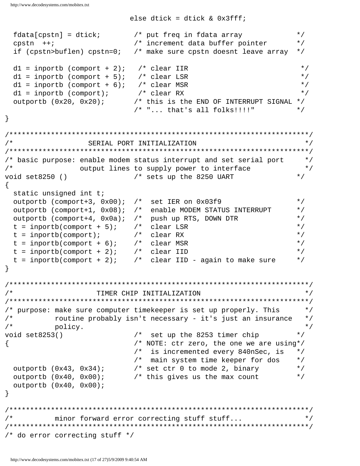else dtick = dtick &  $0x3fff$ ;  $fdata[cpst] = dtick;$ /\* put freq in fdata array  $\star$  / /\* increment data buffer pointer  $cpstn$  ++;  $\star$  / if (cpstn>buflen) cpstn=0; /\* make sure cpstn doesnt leave array  $\star$  /  $d1 = input$  (comport + 2); /\* clear IIR  $\star$  /  $d1 =$  inportb (comport + 5); /\* clear LSR  $\star$  /  $d1 =$  inportb (comport + 6); /\* clear MSR  $\star$  /  $/*$  clear RX  $\star$  /  $d1 = input$  (comport);  $outputb (0x20, 0x20);$ /\* this is the END OF INTERRUPT SIGNAL  $*/$  $/* "... that's all folks!!!!"$  $\star$  /  $\}$  $/$ \* SERIAL PORT INITIALIZATION  $\star$  / /\* basic purpose: enable modem status interrupt and set serial port  $\star$  /  $/$  \* output lines to supply power to interface  $\star/$ void set8250 () /\* sets up the 8250 UART  $\star$  /  $\{$ static unsigned int t; outportb (comport+3, 0x00); /\* set IER on 0x03f9  $\star$  / outportb (comport+1, 0x08); /\* enable MODEM STATUS INTERRUPT  $\star$  / outportb (comport+4, 0x0a); /\* push up RTS, DOWN DTR  $\star$  /  $t = importb(computer + 5);$  /\* clear LSR  $\star$  /  $\star$  /  $t = importb(compact);$  $/*$  clear RX /\* clear MSR  $t = importb(compact + 6)$ ;  $\star$  /  $t = importb( comport + 2);$ /\* clear IID  $\star$  /  $t = importb(compact + 2)$ ; /\* clear IID - again to make sure  $\star$  /  $\}$ TIMER CHIP INITIALIZATION  $/$  \*  $\star$  / /\* purpose: make sure computer timekeeper is set up properly. This  $\star$  /  $/$  \* routine probably isn't necessary - it's just an insurance  $\star$  /  $/$  \*  $\star$  / policy.  $\star$  / /\* set up the 8253 timer chip void set8253() /\* NOTE: ctr zero, the one we are using\*/  $\{$ /\* is incremented every 840nSec, is  $\star$  / /\* main system time keeper for dos  $\star$  / outportb  $(0x43, 0x34)$ ; /\* set ctr 0 to mode 2, binary  $\star$  / outportb  $(0x40, 0x00)$ ; /\* this gives us the max count  $\star$  / outportb  $(0x40, 0x00)$ ;  $\}$ minor forward error correcting stuff stuff...  $/$  \*  $\star$  / /\* do error correcting stuff \*/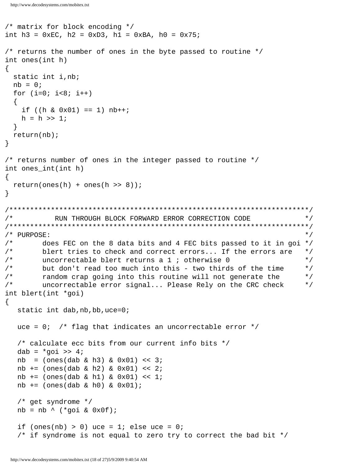```
/* matrix for block encoding */
int h3 = 0 \times BC, h2 = 0 \times D3, h1 = 0 \times BA, h0 = 0 \times 75;
/* returns the number of ones in the byte passed to routine */
int ones(int h)
 static int i, nb;
 nb = 0;for (i=0; i<8; i++)if ((h \& 0x01) == 1) nh++;h = h \gg 1;
  ł
 return(nb);\}/* returns number of ones in the integer passed to routine */
int ones_int(int h)
\mathcal{L}return(ones(h) + ones(h >> 8));\}/ *
           RUN THROUGH BLOCK FORWARD ERROR CORRECTION CODE
                                                                      \star /
/* PURPOSE:
                                                                      \star /
/ *
        does FEC on the 8 data bits and 4 FEC bits passed to it in goi */
        blert tries to check and correct errors... If the errors are
/ *
                                                                      \star /
/*
        uncorrectable blert returns a 1 ; otherwise 0
                                                                      \star /
        but don't read too much into this - two thirds of the time
/ *
                                                                      \star /
/ *
        random crap going into this routine will not generate the
                                                                      \star /
/*
        uncorrectable error signal... Please Rely on the CRC check
                                                                      \star /
int blert(int *goi)
\{static int dab, nb, bb, uce=0;
  uce = 0; /* flag that indicates an uncorrectable error */
   /* calculate ecc bits from our current info bits */
  dab = *qoi \gg 4inb = (ones(dab & h3) & 0x01) << 3inb += (ones(dab & h2) & 0x01) << 2inb += (ones(dab & h1) & 0x01) << 1;nb += (ones(dab & h0) & 0x01);/* get syndrome */nb = nb \land ('\text{goi} & 0x0f);if (ones(nb) > 0) uce = 1; else uce = 0;
   /* if syndrome is not equal to zero try to correct the bad bit */
```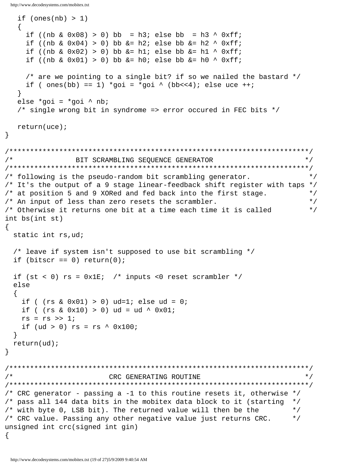```
if (ones(nb) > 1)\{ \cdot \cdot \cdot \cdot \cdot \cdot \cdot \cdot \cdot \cdot \cdot \cdot \cdot \cdot \cdot \cdot \cdot \cdot \cdot \cdot \cdot \cdot \cdot \cdot \cdot \cdot \cdot \cdot \cdot \cdot \cdot \cdot \cdot \cdot \cdot \cdot 
     if ((nb & 0x08) > 0) bb = h3; else bb = h3 ^ 0xff;
     if ((nb \& 0x04) > 0) bb \&= h2; else bb \&= h2 ^ 0xff;
     if ((nb & 0x02) > 0) bb &= h1; else bb &= h1 ^ 0xff;
     if ((nb & 0x01) > 0) bb &= h0; else bb &= h0 ^ 0xff;
      /* are we pointing to a single bit? if so we nailed the bastard */
     if ( ones(bb) == 1) *goi = *goi ^ (bb<<4); else uce ++; }
    else *goi = *goi ^ nb;
    /* single wrong bit in syndrome => error occured in FEC bits */
    return(uce);
}
/************************************************************************/
/* BIT SCRAMBLING SEQUENCE GENERATOR */
/************************************************************************/
/* following is the pseudo-random bit scrambling generator. */
/* It's the output of a 9 stage linear-feedback shift register with taps */
\frac{1}{x} at position 5 and 9 XORed and fed back into the first stage. \frac{x}{x}\gamma^* An input of less than zero resets the scrambler. \gamma^*/* Otherwise it returns one bit at a time each time it is called */
int bs(int st)
\{ static int rs,ud;
   /* leave if system isn't supposed to use bit scrambling */
  if (bitscr == 0) return(0);
  if (st < 0) rs = 0x1E; /* inputs <0 reset scrambler */
   else
\{if ( (rs & 0x01) > 0) ud=1; else ud = 0;
    if ( (rs & 0x10) > 0) ud = ud ^ 0x01;
    rs = rs \gg 1;if (ud > 0) rs = rs ^ 0x100;
   }
   return(ud);
}
/************************************************************************/
/* CRC GENERATING ROUTINE */
/************************************************************************/
/* CRC generator - passing a -1 to this routine resets it, otherwise */
/* pass all 144 data bits in the mobitex data block to it (starting */
\gamma^* with byte 0, LSB bit). The returned value will then be the \gamma\frac{1}{x} CRC value. Passing any other negative value just returns CRC. \frac{x}{x}unsigned int crc(signed int gin)
\{
```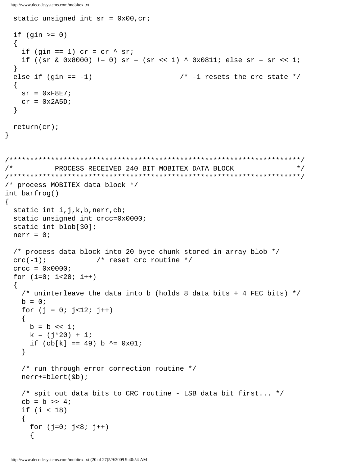```
static unsigned int sr = 0x00, cr;
 if (gin >= 0)\left\{ \right.if (gin == 1) cr = cr \land sr;
   if ((sr & 0x8000) != 0) sr = (sr << 1) ^ 0x0811; else sr = sr << 1;
 \}else if (gin == -1)/* -1 resets the crc state */\left\{ \right.sr = 0xF8E7;cr = 0x2A5Dł
 return (cr);
\}/*
           PROCESS RECEIVED 240 BIT MOBITEX DATA BLOCK
                                                                  \star /
/* process MOBITEX data block */
int barfrog()
\{static int i, j, k, b, nerr, cb;
 static unsigned int crcc=0x0000;
 static int blob[30];
 nerr = 0;/* process data block into 20 byte chunk stored in array blob */
 \text{crc}(-1);
                   /* reset crc routine */
 \text{crec} = 0 \times 0000ifor (i=0; i<20; i++)/* uninterleave the data into b (holds 8 data bits + 4 FEC bits) */
   b = 0;for (j = 0; j < 12; j++)b = b \ll 1;k = (j*20) + i;if (obj[k] == 49) b ^= 0x01;
   \}/* run through error correction routine */
   nerr+=blert(\&b);/* spit out data bits to CRC routine - LSB data bit first... */
   cb = b \gg 4;if (i < 18)for (j=0; j<8; j++)\{
```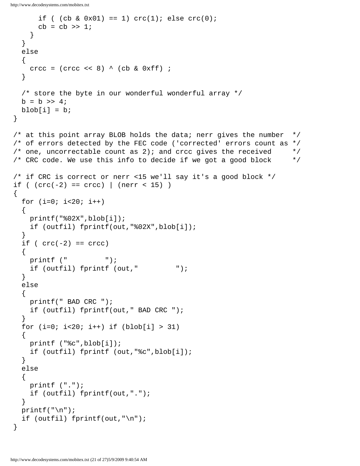```
if ( (cb & 0x01) == 1) crc(1)i else crc(0)icb = cb \gg 1; }
     }
     else
    \{crcc = (\text{crec} \le 8) \wedge (\text{cb} \& \text{0} \times \text{ff});
     }
     /* store the byte in our wonderful wonderful array */
    b = b \gg 4;blob[i] = bi }
   /* at this point array BLOB holds the data; nerr gives the number */
   /* of errors detected by the FEC code ('corrected' errors count as */
  \gamma^* one, uncorrectable count as 2); and crcc gives the received \gamma\frac{1}{2} CRC code. We use this info to decide if we got a good block \frac{1}{2} /* if CRC is correct or nerr <15 we'll say it's a good block */
  if ( (crc(-2) == crcc) | (nerr < 15) )
  \{for (i=0; i<20; i++) {
       printf("%02X",blob[i]);
       if (outfil) fprintf(out,"%02X",blob[i]);
     }
    if (\text{crc}(-2)) == \text{crc}\left\{\begin{array}{c} \end{array}\right\} printf (" ");
       if (outfil) fprintf (out," ");
     }
     else
     {
       printf(" BAD CRC ");
       if (outfil) fprintf(out," BAD CRC ");
 }
    for (i=0; i<20; i++) if (blob[i] > 31)\{ printf ("%c",blob[i]);
       if (outfil) fprintf (out,"%c",blob[i]);
     }
     else
    \{ printf (".");
       if (outfil) fprintf(out,".");
     }
    printf("\n\t\frac{\cdot}{\cdot});
     if (outfil) fprintf(out,"\n");
   }
```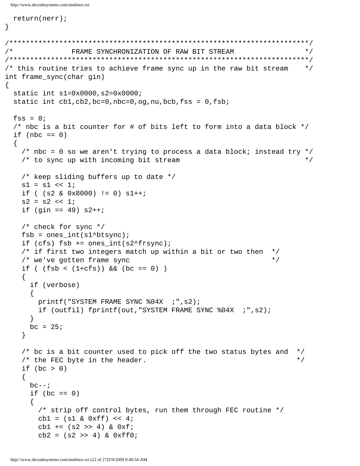```
return(nerr);
\}/ *
               FRAME SYNCHRONIZATION OF RAW BIT STREAM
                                                                     \star /
/* this routine tries to achieve frame sync up in the raw bit stream
                                                                     \star /
int frame_sync(char gin)
\left\{ \right.static int s1=0x0000, s2=0x0000;
 static int cb1, cb2, bc=0, nbc=0, og, nu, bcb, fss = 0, fsb;
 fss = 0;/* nbc is a bit counter for # of bits left to form into a data block */
 if (nbc == 0)/* nbc = 0 so we aren't trying to process a data block; instead try */
   /* to sync up with incoming bit stream
                                                                     \star /
   /* keep sliding buffers up to date */
   s1 = s1 << 1;
   if ( (s2 & 0x8000) != 0) s1++;
   s2 = s2 \le 1if (gin == 49) s2++/* check for sync */fsb = ones(int(s1^b);
   if (cfs) fsb == ones(int(s2*frsync);/* if first two integers match up within a bit or two then */
   /* we've gotten frame sync
                                                              \star /
   if ( (fsb < (1+cfs)) & (bc == 0) )
   \{if (verbose)
       printf("SYSTEM FRAME SYNC %04X ; ", s2);if (outfil) fprintf(out, "SYSTEM FRAME SYNC %04X ; ", s2);
     \mathcal{F}bc = 25;\}/* bc is a bit counter used to pick off the two status bytes and
                                                                   \star /
                                                                   \star /
   /* the FEC byte in the header.
   if (bc > 0)\left\{ \right.bc--if (bc == 0)
     \left\{ \right./* strip off control bytes, run them through FEC routine */
       cb1 = (s1 & 0xff) < 4;cb1 = (s2 \gg 4) & 0xfcb2 = (s2 \gg 4) & 0xff0;
```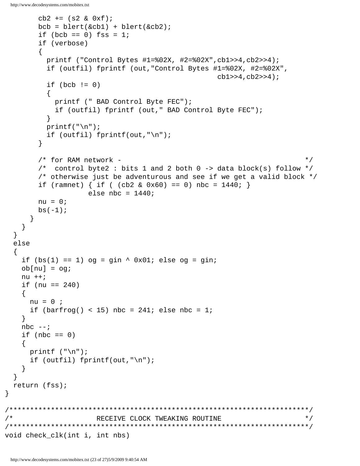```
cb2 += (s2 & 0xf);bcb = blert(\&cb1) + blert(\&cb2);if (bcb == 0) fss = 1;
       if (verbose)
         printf ("Control Bytes #1=802X, #2=802X", cb1>>4, cb2>>4);
         if (outfil) fprintf (out, "Control Bytes #1=%02X, #2=%02X",
                                                cb1>>4, cb2>>4);
         if (bcb != 0)printf (" BAD Control Byte FEC");
           if (outfil) fprintf (out," BAD Control Byte FEC");
         \left\{ \right\}printf("n");
         if (outfil) fprintf(out, "\n");
       \}/* for RAM network -
                                                                    \star /
       /* control byte2 : bits 1 and 2 both 0 -> data block(s) follow */
       /* otherwise just be adventurous and see if we get a valid block */if (ramnet) { if ( (cb2 & 0x60) == 0) nbc = 1440; }
                  else nbc = 1440;
       nu = 0;bs(-1);\mathcal{F}\}\}else
   if (bs(1) == 1) og = gin \land 0x01; else og = gin;
   obj[nu] = oqinu + +if (nu == 240)nu = 0 ;
     if (barfrog() < 15) nbc = 241i else nbc = 1i\left\{ \right.nbc --;if (nbc == 0)
     printf (\sqrt[n]{n});
     if (outfil) fprintf(out,"\n");
    }
  ł
 return (fss);
/ *
                    RECEIVE CLOCK TWEAKING ROUTINE
                                                                    \star /
void check_clk(int i, int nbs)
```
 $\mathcal{F}$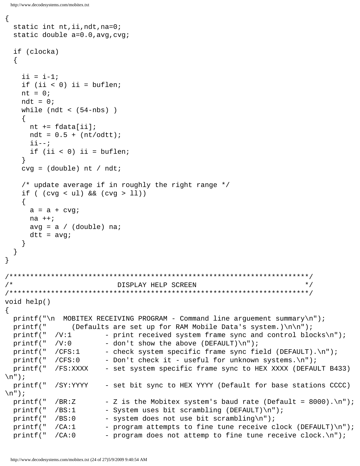```
\{static int nt, ii, ndt, na=0;
  static double a=0.0, avg, cvg;
  if (clocka)
  \left\{ \right.ii = i-1;
    if (ii < 0) ii = buflen;
   nt = 0;ndt = 0;while (ndt < (54-nbs))nt += fdata[i];
     ndt = 0.5 + (nt/odtt);
      \mathbf{i} \mathbf{i} \mathbf{-} \mathbf{-} \mathbf{i}if (ii < 0) ii = buflen;
    \}cvg = (double) nt / ndt;/* update average if in roughly the right range */
    if (cvg < ul) & (cvg > ll)\left\{ \right.a = a + cvgina + +;avg = a / (double) nadtt = avg;\left\{ \right\}\}\}/ *
                                                                         \star /
                           DISPLAY HELP SCREEN
void help()
\{print( \n\times MOBITEX RECEIVING PROGRAM - Command line arguement summary \n");
 printf("
                (Defaults are set up for RAM Mobile Data's system.)\n\ln^n;
           /V:1printf("
                        - print received system frame sync and control blocks\n");
                        - don't show the above (DEFAULT) \n");
 printf("
           /V:0- check system specific frame sync field (DEFAULT). \n");
 printf("
           /CFS:1
                        - Don't check it - useful for unknown systems. \n");
 printf("
           /CFS:0
                        - set system specific frame sync to HEX XXXX (DEFAULT B433)
 printf("
           /FS:XXXX
\n\langle n'' \rangle;
 printf("
           /SY:YYYY
                        - set bit sync to HEX YYYY (Default for base stations CCCC)
\n\langle n'' \rangleprintf("
           /BR:Z
                        - Z is the Mobitex system's baud rate (Default = 8000). \n");
 printf("
           /BS:1
                        - System uses bit scrambling (DEFAULT)\n");
                        - system does not use bit scrambling\n");
 printf("
           /BS:0- program attempts to fine tune receive clock (DEFAULT)\n");
 printf("
           /CA:1printf("
            /CA:0- program does not attemp to fine tune receive clock. \n\ln );
```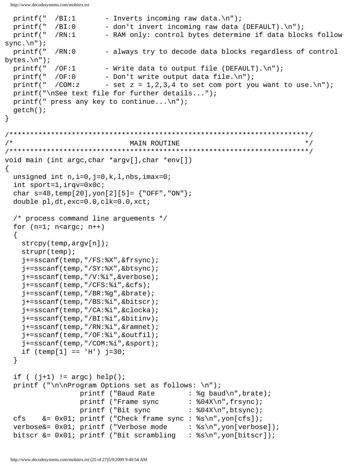```
printf(" /BI:1 - Inverts incoming raw data.\ln");
  printf(" /BI:0 - don't invert incoming raw data (DEFAULT).\n\cdot\printf(" /RN:1 - RAM only: control bytes determine if data blocks follow
sync.\n\langle n" \rangle;
   printf(" /RN:0 - always try to decode data blocks regardless of control 
bytes.\n\cdot \n\cdot);
  printf(" /OF:1 - Write data to output file (DEFAULT).\n \begin{bmatrix}\n 0 & -\n 0 & -\n 0 & -\n 0 & \n \end{bmatrix}printf(" /OF:0 - Don't write output data file.\ln");
  printf(" /COM:z - set z = 1,2,3,4 to set com port you want to use.\n\cdot\i;
   printf("\nSee text file for further details...");
  printf(" press any key to continue...\n \n \binom{n}{r};
   getch();
}
/************************************************************************/
\gamma^* , and the matrix of the MAIN ROUTINE \gamma^*/************************************************************************/
void main (int argc,char *argv[],char *env[])
\left\{ \right.unsigned int n,i=0,j=0,k,l,nbs,imax=0; int sport=1,irqv=0x0c;
  char s=48, temp[20], yon[2][5] = \{ "OFF", "ON" \};
   double pl,dt,exc=0.0,clk=0.0,xct;
   /* process command line arguements */
  for (n=1; n<argc; n++)\{ strcpy(temp,argv[n]);
     strupr(temp);
     j+=sscanf(temp,"/FS:%X",&frsync);
     j+=sscanf(temp,"/SY:%X",&btsync);
     j+=sscanf(temp,"/V:%i",&verbose);
     j+=sscanf(temp,"/CFS:%i",&cfs);
     j+=sscanf(temp,"/BR:%g",&brate);
     j+=sscanf(temp,"/BS:%i",&bitscr);
     j+=sscanf(temp,"/CA:%i",&clocka);
     j+=sscanf(temp,"/BI:%i",&bitinv);
     j+=sscanf(temp,"/RN:%i",&ramnet);
     j+=sscanf(temp,"/OF:%i",&outfil);
     j+=sscanf(temp,"/COM:%i",&sport);
    if temp[1] == 'H') j=30;
   }
  if ( (j+1) != \arg c) help();
  printf ("\n\nProgram Options set as follows: \n");
                  printf ("Baud Rate : %g baud\n", brate);
                  printf ("Frame sync : %04X\n", frsync);
                  printf ("Bit sync : %04X\n", btsync);
   cfs &= 0x01; printf ("Check frame sync : %s\n",yon[cfs]);
  verbose&= 0x01; printf ("Verbose mode : s\n", yon[verbose]);
   bitscr &= 0x01; printf ("Bit scrambling : %s\n",yon[bitscr]);
```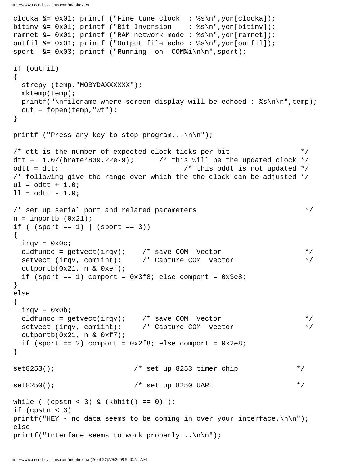```
 clocka &= 0x01; printf ("Fine tune clock : %s\n",yon[clocka]);
  bitinv &= 0x01; printf ("Bit Inversion : %s\n",yon[bitinv]);
  ramnet &= 0x01; printf ("RAM network mode : %s\n",yon[ramnet]);
  outfil &= 0x01; printf ("Output file echo : %s\n",yon[outfil]);
 sport &= 0x03; printf ("Running on COM%i\n\n", sport);
  if (outfil)
  {
   strcpy (temp, "MOBYDAXXXXXX");
    mktemp(temp);
   printf("\nfilename where screen display will be echoed : s\n\cdot n, temp);
   out = fopen(temp, "wt");
  }
 printf ("Press any key to stop program...\n\cdot/* dtt is the number of expected clock ticks per bit */
 dtt = 1.0/(brate*839.22e-9); \qquad this will be the updated clock */odtt = dtt; \sqrt{2} /* this oddt is not updated */
  /* following give the range over which the the clock can be adjusted */
 ul = odtt + 1.0;11 = odtt - 1.0;/* set up serial port and related parameters */
 n = inportb (0x21);
 if ( (sport == 1) | (sport == 3))
 \{irqv = 0x0c; oldfuncc = getvect(irqv); /* save COM Vector */
    setvect (irqv, com1int); /* Capture COM vector */
    outportb(0x21, n & 0xef);
   if (sport == 1) comport = 0x3f8; else comport = 0x3e8;
  }
  else
 \{irqv = 0x0b; oldfuncc = getvect(irqv); /* save COM Vector */
 setvect (irqv, com1int); /* Capture COM vector */
    outportb(0x21, n & 0xf7);
   if (sport == 2) comport = 0x2f8; else comport = 0x2e8;
  }
 set8253(); \frac{1}{4} set up 8253 timer chip \frac{1}{4}set8250(); \frac{1}{4} set up 8250 UART */
 while ( (cpst < 3) & (kbhit() == 0) );
  if (cpstn < 3)
 printf("HEY - no data seems to be coming in over your interface.\n \n \begin{bmatrix}\n n \\ n \n \end{bmatrix};
  else
 printf("Interface seems to work properly...\n\timesn\n\timesi;
```